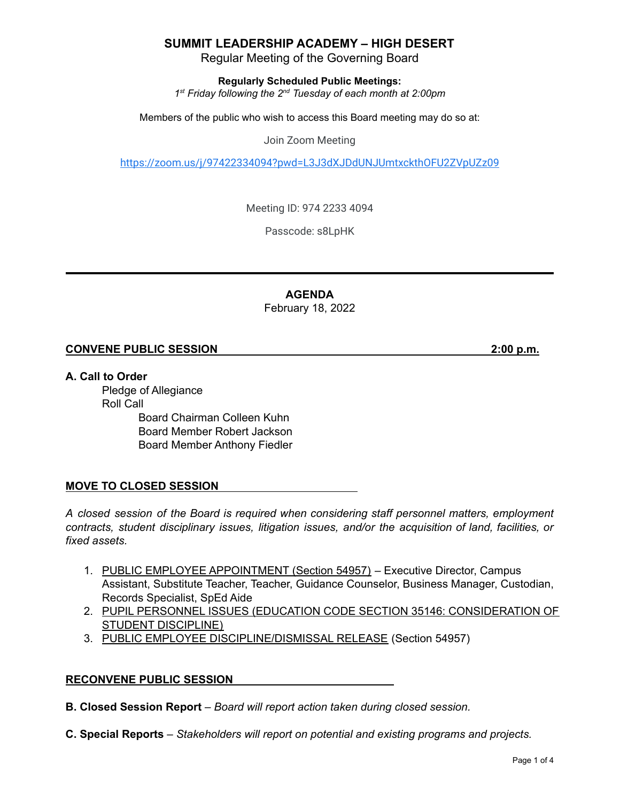Regular Meeting of the Governing Board

**Regularly Scheduled Public Meetings:**

*1 st Friday following the 2 nd Tuesday of each month at 2:00pm*

Members of the public who wish to access this Board meeting may do so at:

Join Zoom Meeting

<https://zoom.us/j/97422334094?pwd=L3J3dXJDdUNJUmtxckthOFU2ZVpUZz09>

Meeting ID: 974 2233 4094

Passcode: s8LpHK

**AGENDA** February 18, 2022

#### **CONVENE PUBLIC SESSION 2:00 p.m.**

**A. Call to Order**

Pledge of Allegiance Roll Call Board Chairman Colleen Kuhn Board Member Robert Jackson Board Member Anthony Fiedler

### **MOVE TO CLOSED SESSION**

*A closed session of the Board is required when considering staff personnel matters, employment contracts, student disciplinary issues, litigation issues, and/or the acquisition of land, facilities, or fixed assets.*

- 1. PUBLIC EMPLOYEE APPOINTMENT (Section 54957) Executive Director, Campus Assistant, Substitute Teacher, Teacher, Guidance Counselor, Business Manager, Custodian, Records Specialist, SpEd Aide
- 2. PUPIL PERSONNEL ISSUES (EDUCATION CODE SECTION 35146: CONSIDERATION OF STUDENT DISCIPLINE)
- 3. PUBLIC EMPLOYEE DISCIPLINE/DISMISSAL RELEASE (Section 54957)

#### **RECONVENE PUBLIC SESSION**

**B. Closed Session Report** – *Board will report action taken during closed session.*

**C. Special Reports** *– Stakeholders will report on potential and existing programs and projects.*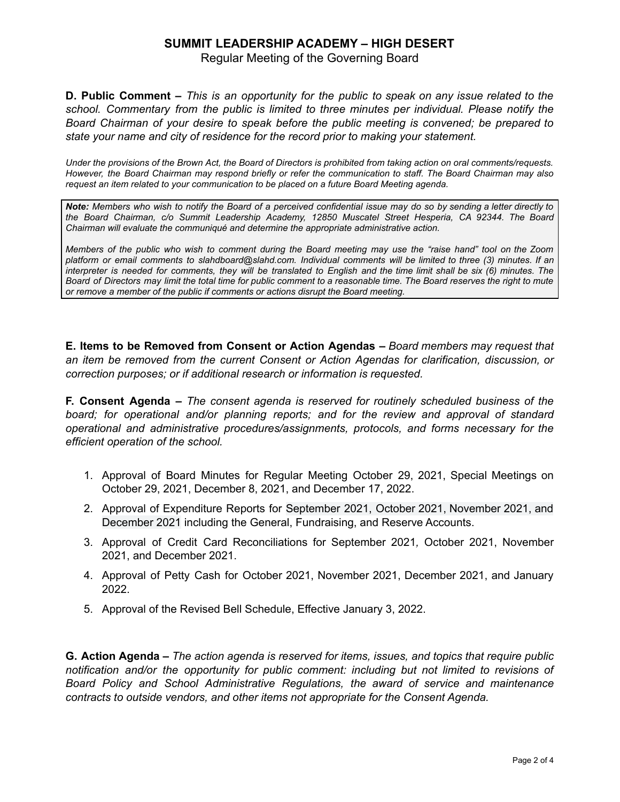Regular Meeting of the Governing Board

**D. Public Comment –** This is an opportunity for the public to speak on any issue related to the *school. Commentary from the public is limited to three minutes per individual. Please notify the Board Chairman of your desire to speak before the public meeting is convened; be prepared to state your name and city of residence for the record prior to making your statement.*

Under the provisions of the Brown Act, the Board of Directors is prohibited from taking action on oral comments/requests. However, the Board Chairman may respond briefly or refer the communication to staff. The Board Chairman may also *request an item related to your communication to be placed on a future Board Meeting agenda.*

Note: Members who wish to notify the Board of a perceived confidential issue may do so by sending a letter directly to *the Board Chairman, c/o Summit Leadership Academy, 12850 Muscatel Street Hesperia, CA 92344. The Board Chairman will evaluate the communiqué and determine the appropriate administrative action.*

Members of the public who wish to comment during the Board meeting may use the "raise hand" tool on the Zoom platform or email comments to slahdboard@slahd.com. Individual comments will be limited to three (3) minutes. If an interpreter is needed for comments, they will be translated to English and the time limit shall be six (6) minutes. The Board of Directors may limit the total time for public comment to a reasonable time. The Board reserves the right to mute *or remove a member of the public if comments or actions disrupt the Board meeting.*

**E. Items to be Removed from Consent or Action Agendas –** *Board members may request that an item be removed from the current Consent or Action Agendas for clarification, discussion, or correction purposes; or if additional research or information is requested.*

**F. Consent Agenda –** *The consent agenda is reserved for routinely scheduled business of the board; for operational and/or planning reports; and for the review and approval of standard operational and administrative procedures/assignments, protocols, and forms necessary for the efficient operation of the school.*

- 1. Approval of Board Minutes for Regular Meeting October 29, 2021, Special Meetings on October 29, 2021, December 8, 2021, and December 17, 2022.
- 2. Approval of Expenditure Reports for September 2021, October 2021, November 2021, and December 2021 including the General, Fundraising, and Reserve Accounts.
- 3. Approval of Credit Card Reconciliations for September 2021*,* October 2021, November 2021, and December 2021.
- 4. Approval of Petty Cash for October 2021, November 2021, December 2021, and January 2022.
- 5. Approval of the Revised Bell Schedule, Effective January 3, 2022.

**G. Action Agenda –** *The action agenda is reserved for items, issues, and topics that require public notification and/or the opportunity for public comment: including but not limited to revisions of Board Policy and School Administrative Regulations, the award of service and maintenance contracts to outside vendors, and other items not appropriate for the Consent Agenda.*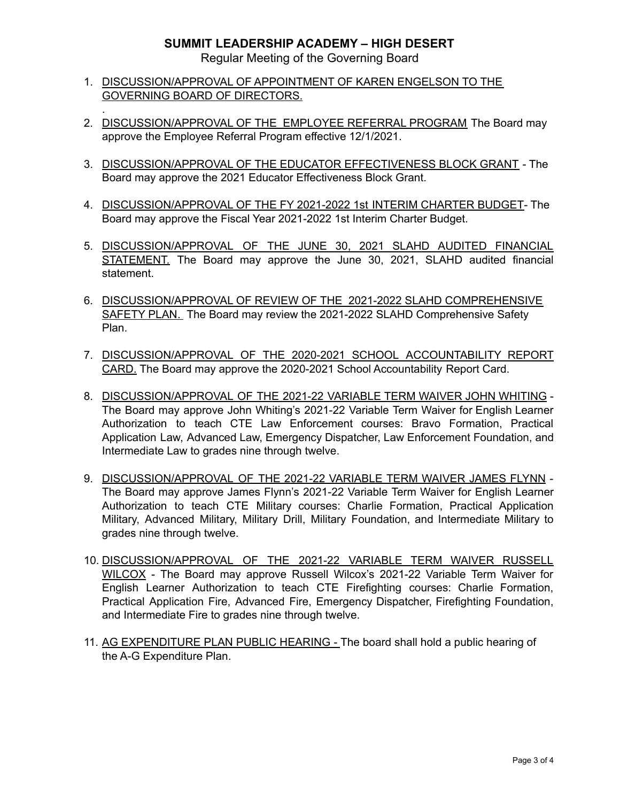Regular Meeting of the Governing Board

1. DISCUSSION/APPROVAL OF APPOINTMENT OF KAREN ENGELSON TO THE GOVERNING BOARD OF DIRECTORS.

.

- 2. DISCUSSION/APPROVAL OF THE EMPLOYEE REFERRAL PROGRAM The Board may approve the Employee Referral Program effective 12/1/2021.
- 3. DISCUSSION/APPROVAL OF THE EDUCATOR EFFECTIVENESS BLOCK GRANT The Board may approve the 2021 Educator Effectiveness Block Grant.
- 4. DISCUSSION/APPROVAL OF THE FY 2021-2022 1st INTERIM CHARTER BUDGET- The Board may approve the Fiscal Year 2021-2022 1st Interim Charter Budget.
- 5. DISCUSSION/APPROVAL OF THE JUNE 30, 2021 SLAHD AUDITED FINANCIAL STATEMENT. The Board may approve the June 30, 2021, SLAHD audited financial statement.
- 6. DISCUSSION/APPROVAL OF REVIEW OF THE 2021-2022 SLAHD COMPREHENSIVE SAFETY PLAN. The Board may review the 2021-2022 SLAHD Comprehensive Safety Plan.
- 7. DISCUSSION/APPROVAL OF THE 2020-2021 SCHOOL ACCOUNTABILITY REPORT CARD. The Board may approve the 2020-2021 School Accountability Report Card.
- 8. DISCUSSION/APPROVAL OF THE 2021-22 VARIABLE TERM WAIVER JOHN WHITING The Board may approve John Whiting's 2021-22 Variable Term Waiver for English Learner Authorization to teach CTE Law Enforcement courses: Bravo Formation, Practical Application Law, Advanced Law, Emergency Dispatcher, Law Enforcement Foundation, and Intermediate Law to grades nine through twelve.
- 9. DISCUSSION/APPROVAL OF THE 2021-22 VARIABLE TERM WAIVER JAMES FLYNN The Board may approve James Flynn's 2021-22 Variable Term Waiver for English Learner Authorization to teach CTE Military courses: Charlie Formation, Practical Application Military, Advanced Military, Military Drill, Military Foundation, and Intermediate Military to grades nine through twelve.
- 10. DISCUSSION/APPROVAL OF THE 2021-22 VARIABLE TERM WAIVER RUSSELL WILCOX - The Board may approve Russell Wilcox's 2021-22 Variable Term Waiver for English Learner Authorization to teach CTE Firefighting courses: Charlie Formation, Practical Application Fire, Advanced Fire, Emergency Dispatcher, Firefighting Foundation, and Intermediate Fire to grades nine through twelve.
- 11. AG EXPENDITURE PLAN PUBLIC HEARING The board shall hold a public hearing of the A-G Expenditure Plan.